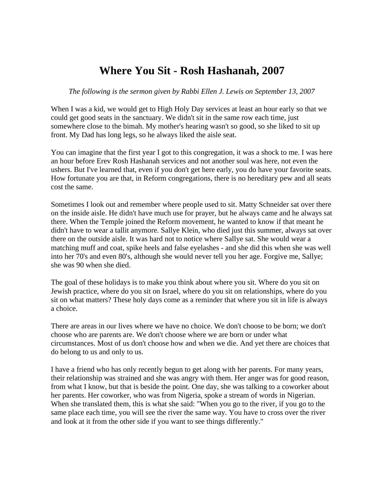## **Where You Sit - Rosh Hashanah, 2007**

## *The following is the sermon given by Rabbi Ellen J. Lewis on September 13, 2007*

When I was a kid, we would get to High Holy Day services at least an hour early so that we could get good seats in the sanctuary. We didn't sit in the same row each time, just somewhere close to the bimah. My mother's hearing wasn't so good, so she liked to sit up front. My Dad has long legs, so he always liked the aisle seat.

You can imagine that the first year I got to this congregation, it was a shock to me. I was here an hour before Erev Rosh Hashanah services and not another soul was here, not even the ushers. But I've learned that, even if you don't get here early, you do have your favorite seats. How fortunate you are that, in Reform congregations, there is no hereditary pew and all seats cost the same.

Sometimes I look out and remember where people used to sit. Matty Schneider sat over there on the inside aisle. He didn't have much use for prayer, but he always came and he always sat there. When the Temple joined the Reform movement, he wanted to know if that meant he didn't have to wear a tallit anymore. Sallye Klein, who died just this summer, always sat over there on the outside aisle. It was hard not to notice where Sallye sat. She would wear a matching muff and coat, spike heels and false eyelashes - and she did this when she was well into her 70's and even 80's, although she would never tell you her age. Forgive me, Sallye; she was 90 when she died.

The goal of these holidays is to make you think about where you sit. Where do you sit on Jewish practice, where do you sit on Israel, where do you sit on relationships, where do you sit on what matters? These holy days come as a reminder that where you sit in life is always a choice.

There are areas in our lives where we have no choice. We don't choose to be born; we don't choose who are parents are. We don't choose where we are born or under what circumstances. Most of us don't choose how and when we die. And yet there are choices that do belong to us and only to us.

I have a friend who has only recently begun to get along with her parents. For many years, their relationship was strained and she was angry with them. Her anger was for good reason, from what I know, but that is beside the point. One day, she was talking to a coworker about her parents. Her coworker, who was from Nigeria, spoke a stream of words in Nigerian. When she translated them, this is what she said: "When you go to the river, if you go to the same place each time, you will see the river the same way. You have to cross over the river and look at it from the other side if you want to see things differently."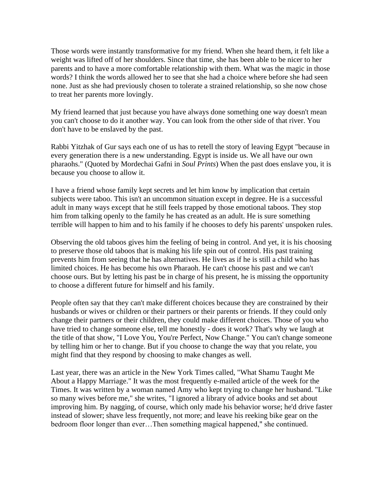Those words were instantly transformative for my friend. When she heard them, it felt like a weight was lifted off of her shoulders. Since that time, she has been able to be nicer to her parents and to have a more comfortable relationship with them. What was the magic in those words? I think the words allowed her to see that she had a choice where before she had seen none. Just as she had previously chosen to tolerate a strained relationship, so she now chose to treat her parents more lovingly.

My friend learned that just because you have always done something one way doesn't mean you can't choose to do it another way. You can look from the other side of that river. You don't have to be enslaved by the past.

Rabbi Yitzhak of Gur says each one of us has to retell the story of leaving Egypt "because in every generation there is a new understanding. Egypt is inside us. We all have our own pharaohs." (Quoted by Mordechai Gafni in *Soul Prints*) When the past does enslave you, it is because you choose to allow it.

I have a friend whose family kept secrets and let him know by implication that certain subjects were taboo. This isn't an uncommon situation except in degree. He is a successful adult in many ways except that he still feels trapped by those emotional taboos. They stop him from talking openly to the family he has created as an adult. He is sure something terrible will happen to him and to his family if he chooses to defy his parents' unspoken rules.

Observing the old taboos gives him the feeling of being in control. And yet, it is his choosing to preserve those old taboos that is making his life spin out of control. His past training prevents him from seeing that he has alternatives. He lives as if he is still a child who has limited choices. He has become his own Pharaoh. He can't choose his past and we can't choose ours. But by letting his past be in charge of his present, he is missing the opportunity to choose a different future for himself and his family.

People often say that they can't make different choices because they are constrained by their husbands or wives or children or their partners or their parents or friends. If they could only change their partners or their children, they could make different choices. Those of you who have tried to change someone else, tell me honestly - does it work? That's why we laugh at the title of that show, "I Love You, You're Perfect, Now Change." You can't change someone by telling him or her to change. But if you choose to change the way that you relate, you might find that they respond by choosing to make changes as well.

Last year, there was an article in the New York Times called, "What Shamu Taught Me About a Happy Marriage." It was the most frequently e-mailed article of the week for the Times. It was written by a woman named Amy who kept trying to change her husband. "Like so many wives before me," she writes, "I ignored a library of advice books and set about improving him. By nagging, of course, which only made his behavior worse; he'd drive faster instead of slower; shave less frequently, not more; and leave his reeking bike gear on the bedroom floor longer than ever…Then something magical happened," she continued.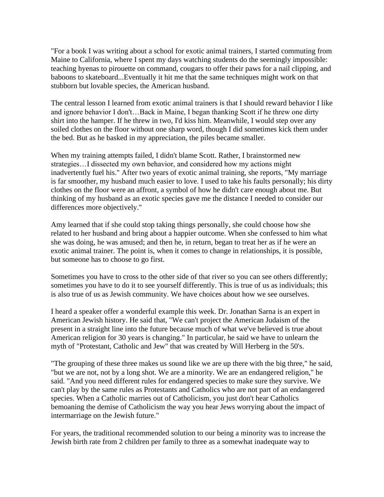"For a book I was writing about a school for exotic animal trainers, I started commuting from Maine to California, where I spent my days watching students do the seemingly impossible: teaching hyenas to pirouette on command, cougars to offer their paws for a nail clipping, and baboons to skateboard...Eventually it hit me that the same techniques might work on that stubborn but lovable species, the American husband.

The central lesson I learned from exotic animal trainers is that I should reward behavior I like and ignore behavior I don't…Back in Maine, I began thanking Scott if he threw one dirty shirt into the hamper. If he threw in two, I'd kiss him. Meanwhile, I would step over any soiled clothes on the floor without one sharp word, though I did sometimes kick them under the bed. But as he basked in my appreciation, the piles became smaller.

When my training attempts failed, I didn't blame Scott. Rather, I brainstormed new strategies…I dissected my own behavior, and considered how my actions might inadvertently fuel his." After two years of exotic animal training, she reports, "My marriage is far smoother, my husband much easier to love. I used to take his faults personally; his dirty clothes on the floor were an affront, a symbol of how he didn't care enough about me. But thinking of my husband as an exotic species gave me the distance I needed to consider our differences more objectively."

Amy learned that if she could stop taking things personally, she could choose how she related to her husband and bring about a happier outcome. When she confessed to him what she was doing, he was amused; and then he, in return, began to treat her as if he were an exotic animal trainer. The point is, when it comes to change in relationships, it is possible, but someone has to choose to go first.

Sometimes you have to cross to the other side of that river so you can see others differently; sometimes you have to do it to see yourself differently. This is true of us as individuals; this is also true of us as Jewish community. We have choices about how we see ourselves.

I heard a speaker offer a wonderful example this week. Dr. Jonathan Sarna is an expert in American Jewish history. He said that, "We can't project the American Judaism of the present in a straight line into the future because much of what we've believed is true about American religion for 30 years is changing." In particular, he said we have to unlearn the myth of "Protestant, Catholic and Jew" that was created by Will Herberg in the 50's.

"The grouping of these three makes us sound like we are up there with the big three," he said, "but we are not, not by a long shot. We are a minority. We are an endangered religion," he said. "And you need different rules for endangered species to make sure they survive. We can't play by the same rules as Protestants and Catholics who are not part of an endangered species. When a Catholic marries out of Catholicism, you just don't hear Catholics bemoaning the demise of Catholicism the way you hear Jews worrying about the impact of intermarriage on the Jewish future."

For years, the traditional recommended solution to our being a minority was to increase the Jewish birth rate from 2 children per family to three as a somewhat inadequate way to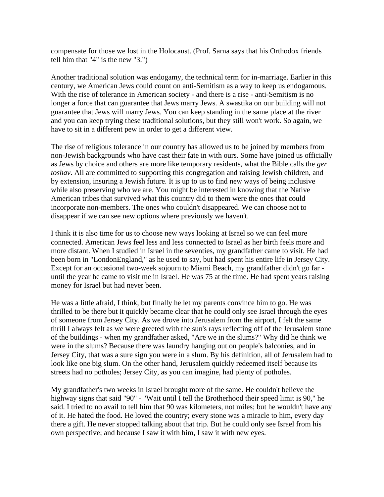compensate for those we lost in the Holocaust. (Prof. Sarna says that his Orthodox friends tell him that "4" is the new "3.")

Another traditional solution was endogamy, the technical term for in-marriage. Earlier in this century, we American Jews could count on anti-Semitism as a way to keep us endogamous. With the rise of tolerance in American society - and there is a rise - anti-Semitism is no longer a force that can guarantee that Jews marry Jews. A swastika on our building will not guarantee that Jews will marry Jews. You can keep standing in the same place at the river and you can keep trying these traditional solutions, but they still won't work. So again, we have to sit in a different pew in order to get a different view.

The rise of religious tolerance in our country has allowed us to be joined by members from non-Jewish backgrounds who have cast their fate in with ours. Some have joined us officially as Jews by choice and others are more like temporary residents, what the Bible calls the *ger toshav*. All are committed to supporting this congregation and raising Jewish children, and by extension, insuring a Jewish future. It is up to us to find new ways of being inclusive while also preserving who we are. You might be interested in knowing that the Native American tribes that survived what this country did to them were the ones that could incorporate non-members. The ones who couldn't disappeared. We can choose not to disappear if we can see new options where previously we haven't.

I think it is also time for us to choose new ways looking at Israel so we can feel more connected. American Jews feel less and less connected to Israel as her birth feels more and more distant. When I studied in Israel in the seventies, my grandfather came to visit. He had been born in "LondonEngland," as he used to say, but had spent his entire life in Jersey City. Except for an occasional two-week sojourn to Miami Beach, my grandfather didn't go far until the year he came to visit me in Israel. He was 75 at the time. He had spent years raising money for Israel but had never been.

He was a little afraid, I think, but finally he let my parents convince him to go. He was thrilled to be there but it quickly became clear that he could only see Israel through the eyes of someone from Jersey City. As we drove into Jerusalem from the airport, I felt the same thrill I always felt as we were greeted with the sun's rays reflecting off of the Jerusalem stone of the buildings - when my grandfather asked, "Are we in the slums?" Why did he think we were in the slums? Because there was laundry hanging out on people's balconies, and in Jersey City, that was a sure sign you were in a slum. By his definition, all of Jerusalem had to look like one big slum. On the other hand, Jerusalem quickly redeemed itself because its streets had no potholes; Jersey City, as you can imagine, had plenty of potholes.

My grandfather's two weeks in Israel brought more of the same. He couldn't believe the highway signs that said "90" - "Wait until I tell the Brotherhood their speed limit is 90," he said. I tried to no avail to tell him that 90 was kilometers, not miles; but he wouldn't have any of it. He hated the food. He loved the country; every stone was a miracle to him, every day there a gift. He never stopped talking about that trip. But he could only see Israel from his own perspective; and because I saw it with him, I saw it with new eyes.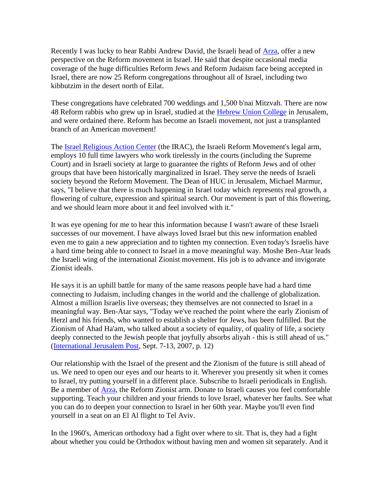Recently I was lucky to hear Rabbi Andrew David, the Israeli head of [Arza,](http://www.arza.org/) offer a new perspective on the Reform movement in Israel. He said that despite occasional media coverage of the huge difficulties Reform Jews and Reform Judaism face being accepted in Israel, there are now 25 Reform congregations throughout all of Israel, including two kibbutzim in the desert north of Eilat.

These congregations have celebrated 700 weddings and 1,500 b'nai Mitzvah. There are now 48 Reform rabbis who grew up in Israel, studied at the [Hebrew Union College](http://www.huc.edu/) in Jerusalem, and were ordained there. Reform has become an Israeli movement, not just a transplanted branch of an American movement!

The **[Israel Religious Action Center](http://rac.org/)** (the IRAC), the Israeli Reform Movement's legal arm, employs 10 full time lawyers who work tirelessly in the courts (including the Supreme Court) and in Israeli society at large to guarantee the rights of Reform Jews and of other groups that have been historically marginalized in Israel. They serve the needs of Israeli society beyond the Reform Movement. The Dean of HUC in Jerusalem, Michael Marmur, says, "I believe that there is much happening in Israel today which represents real growth, a flowering of culture, expression and spiritual search. Our movement is part of this flowering, and we should learn more about it and feel involved with it."

It was eye opening for me to hear this information because I wasn't aware of these Israeli successes of our movement. I have always loved Israel but this new information enabled even me to gain a new appreciation and to tighten my connection. Even today's Israelis have a hard time being able to connect to Israel in a move meaningful way. Moshe Ben-Atar leads the Israeli wing of the international Zionist movement. His job is to advance and invigorate Zionist ideals.

He says it is an uphill battle for many of the same reasons people have had a hard time connecting to Judaism, including changes in the world and the challenge of globalization. Almost a million Israelis live overseas; they themselves are not connected to Israel in a meaningful way. Ben-Atar says, "Today we've reached the point where the early Zionism of Herzl and his friends, who wanted to establish a shelter for Jews, has been fulfilled. But the Zionism of Ahad Ha'am, who talked about a society of equality, of quality of life, a society deeply connected to the Jewish people that joyfully absorbs aliyah - this is still ahead of us." [\(International Jerusalem Post,](http://www.jpost.com/) Sept. 7-13, 2007, p. 12)

Our relationship with the Israel of the present and the Zionism of the future is still ahead of us. We need to open our eyes and our hearts to it. Wherever you presently sit when it comes to Israel, try putting yourself in a different place. Subscribe to Israeli periodicals in English. Be a member of **Arza**, the Reform Zionist arm. Donate to Israeli causes you feel comfortable supporting. Teach your children and your friends to love Israel, whatever her faults. See what you can do to deepen your connection to Israel in her 60th year. Maybe you'll even find yourself in a seat on an El Al flight to Tel Aviv.

In the 1960's, American orthodoxy had a fight over where to sit. That is, they had a fight about whether you could be Orthodox without having men and women sit separately. And it